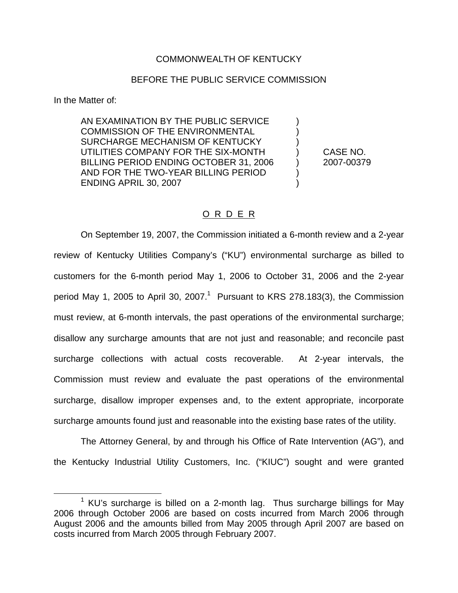## COMMONWEALTH OF KENTUCKY

## BEFORE THE PUBLIC SERVICE COMMISSION

In the Matter of:

AN EXAMINATION BY THE PUBLIC SERVICE ) COMMISSION OF THE ENVIRONMENTAL SURCHARGE MECHANISM OF KENTUCKY ) UTILITIES COMPANY FOR THE SIX-MONTH ) CASE NO. BILLING PERIOD ENDING OCTOBER 31, 2006 (2007-00379) AND FOR THE TWO-YEAR BILLING PERIOD ) **ENDING APRIL 30, 2007** 

# O R D E R

On September 19, 2007, the Commission initiated a 6-month review and a 2-year review of Kentucky Utilities Company's ("KU") environmental surcharge as billed to customers for the 6-month period May 1, 2006 to October 31, 2006 and the 2-year period May 1, 2005 to April 30, 2007.<sup>1</sup> Pursuant to KRS 278.183(3), the Commission must review, at 6-month intervals, the past operations of the environmental surcharge; disallow any surcharge amounts that are not just and reasonable; and reconcile past surcharge collections with actual costs recoverable. At 2-year intervals, the Commission must review and evaluate the past operations of the environmental surcharge, disallow improper expenses and, to the extent appropriate, incorporate surcharge amounts found just and reasonable into the existing base rates of the utility.

The Attorney General, by and through his Office of Rate Intervention (AG"), and the Kentucky Industrial Utility Customers, Inc. ("KIUC") sought and were granted

 $1$  KU's surcharge is billed on a 2-month lag. Thus surcharge billings for May 2006 through October 2006 are based on costs incurred from March 2006 through August 2006 and the amounts billed from May 2005 through April 2007 are based on costs incurred from March 2005 through February 2007.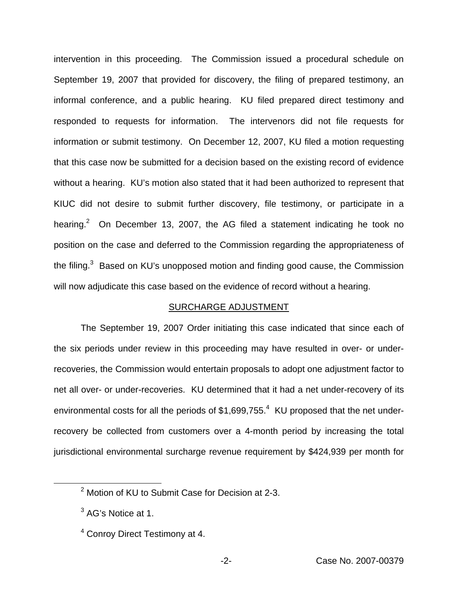intervention in this proceeding. The Commission issued a procedural schedule on September 19, 2007 that provided for discovery, the filing of prepared testimony, an informal conference, and a public hearing. KU filed prepared direct testimony and responded to requests for information. The intervenors did not file requests for information or submit testimony. On December 12, 2007, KU filed a motion requesting that this case now be submitted for a decision based on the existing record of evidence without a hearing. KU's motion also stated that it had been authorized to represent that KIUC did not desire to submit further discovery, file testimony, or participate in a hearing.<sup>2</sup> On December 13, 2007, the AG filed a statement indicating he took no position on the case and deferred to the Commission regarding the appropriateness of the filing. $3$  Based on KU's unopposed motion and finding good cause, the Commission will now adjudicate this case based on the evidence of record without a hearing.

## SURCHARGE ADJUSTMENT

The September 19, 2007 Order initiating this case indicated that since each of the six periods under review in this proceeding may have resulted in over- or underrecoveries, the Commission would entertain proposals to adopt one adjustment factor to net all over- or under-recoveries. KU determined that it had a net under-recovery of its environmental costs for all the periods of  $$1,699,755<sup>4</sup>$  KU proposed that the net underrecovery be collected from customers over a 4-month period by increasing the total jurisdictional environmental surcharge revenue requirement by \$424,939 per month for

<sup>&</sup>lt;sup>2</sup> Motion of KU to Submit Case for Decision at 2-3.

<sup>&</sup>lt;sup>3</sup> AG's Notice at 1.

<sup>4</sup> Conroy Direct Testimony at 4.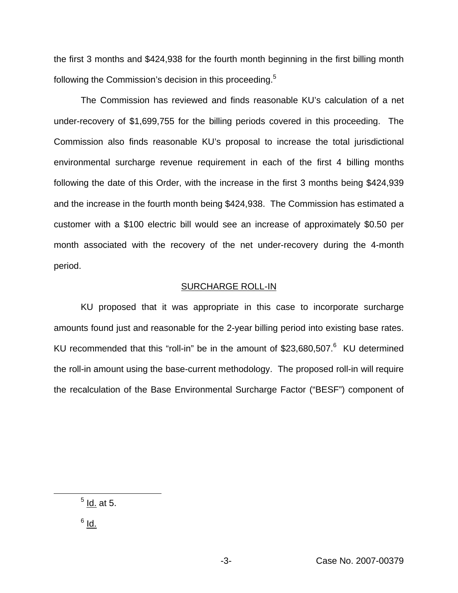the first 3 months and \$424,938 for the fourth month beginning in the first billing month following the Commission's decision in this proceeding.<sup>5</sup>

The Commission has reviewed and finds reasonable KU's calculation of a net under-recovery of \$1,699,755 for the billing periods covered in this proceeding. The Commission also finds reasonable KU's proposal to increase the total jurisdictional environmental surcharge revenue requirement in each of the first 4 billing months following the date of this Order, with the increase in the first 3 months being \$424,939 and the increase in the fourth month being \$424,938. The Commission has estimated a customer with a \$100 electric bill would see an increase of approximately \$0.50 per month associated with the recovery of the net under-recovery during the 4-month period.

#### SURCHARGE ROLL-IN

KU proposed that it was appropriate in this case to incorporate surcharge amounts found just and reasonable for the 2-year billing period into existing base rates. KU recommended that this "roll-in" be in the amount of \$23,680,507.<sup>6</sup> KU determined the roll-in amount using the base-current methodology. The proposed roll-in will require the recalculation of the Base Environmental Surcharge Factor ("BESF") component of

 $<sup>5</sup>$  Id. at 5.</sup>

 $6$  Id.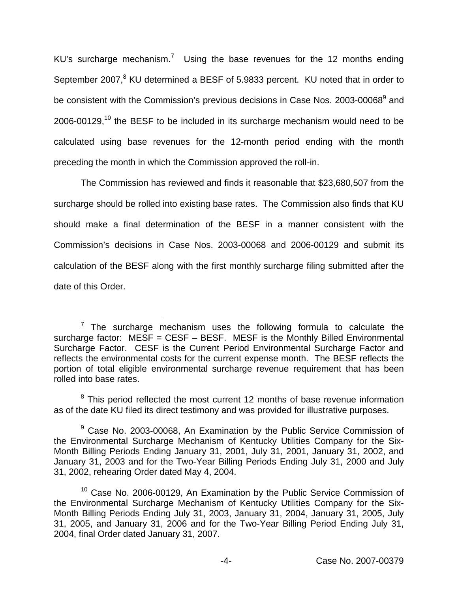KU's surcharge mechanism.<sup>7</sup> Using the base revenues for the 12 months ending September 2007,<sup>8</sup> KU determined a BESF of 5.9833 percent. KU noted that in order to be consistent with the Commission's previous decisions in Case Nos. 2003-00068<sup>9</sup> and 2006-00129,<sup>10</sup> the BESF to be included in its surcharge mechanism would need to be calculated using base revenues for the 12-month period ending with the month preceding the month in which the Commission approved the roll-in.

The Commission has reviewed and finds it reasonable that \$23,680,507 from the surcharge should be rolled into existing base rates. The Commission also finds that KU should make a final determination of the BESF in a manner consistent with the Commission's decisions in Case Nos. 2003-00068 and 2006-00129 and submit its calculation of the BESF along with the first monthly surcharge filing submitted after the date of this Order.

 $<sup>7</sup>$  The surcharge mechanism uses the following formula to calculate the</sup> surcharge factor:  $MESF = CEST - BESF$ . MESF is the Monthly Billed Environmental Surcharge Factor. CESF is the Current Period Environmental Surcharge Factor and reflects the environmental costs for the current expense month. The BESF reflects the portion of total eligible environmental surcharge revenue requirement that has been rolled into base rates.

 $8$  This period reflected the most current 12 months of base revenue information as of the date KU filed its direct testimony and was provided for illustrative purposes.

<sup>&</sup>lt;sup>9</sup> Case No. 2003-00068, An Examination by the Public Service Commission of the Environmental Surcharge Mechanism of Kentucky Utilities Company for the Six-Month Billing Periods Ending January 31, 2001, July 31, 2001, January 31, 2002, and January 31, 2003 and for the Two-Year Billing Periods Ending July 31, 2000 and July 31, 2002, rehearing Order dated May 4, 2004.

<sup>&</sup>lt;sup>10</sup> Case No. 2006-00129, An Examination by the Public Service Commission of the Environmental Surcharge Mechanism of Kentucky Utilities Company for the Six-Month Billing Periods Ending July 31, 2003, January 31, 2004, January 31, 2005, July 31, 2005, and January 31, 2006 and for the Two-Year Billing Period Ending July 31, 2004, final Order dated January 31, 2007.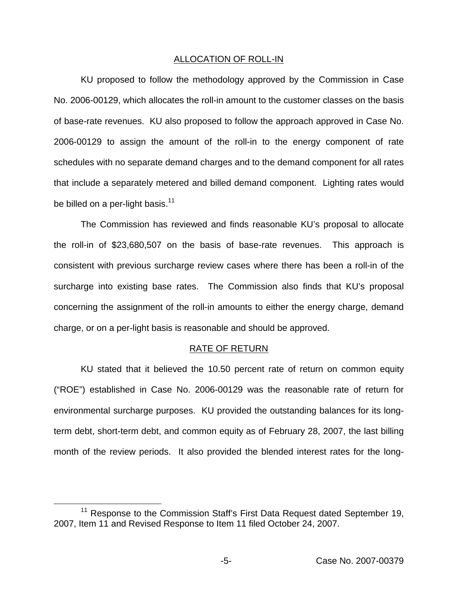### ALLOCATION OF ROLL-IN

KU proposed to follow the methodology approved by the Commission in Case No. 2006-00129, which allocates the roll-in amount to the customer classes on the basis of base-rate revenues. KU also proposed to follow the approach approved in Case No. 2006-00129 to assign the amount of the roll-in to the energy component of rate schedules with no separate demand charges and to the demand component for all rates that include a separately metered and billed demand component. Lighting rates would be billed on a per-light basis. $11$ 

The Commission has reviewed and finds reasonable KU's proposal to allocate the roll-in of \$23,680,507 on the basis of base-rate revenues. This approach is consistent with previous surcharge review cases where there has been a roll-in of the surcharge into existing base rates. The Commission also finds that KU's proposal concerning the assignment of the roll-in amounts to either the energy charge, demand charge, or on a per-light basis is reasonable and should be approved.

# RATE OF RETURN

KU stated that it believed the 10.50 percent rate of return on common equity ("ROE") established in Case No. 2006-00129 was the reasonable rate of return for environmental surcharge purposes. KU provided the outstanding balances for its longterm debt, short-term debt, and common equity as of February 28, 2007, the last billing month of the review periods. It also provided the blended interest rates for the long-

<sup>&</sup>lt;sup>11</sup> Response to the Commission Staff's First Data Request dated September 19, 2007, Item 11 and Revised Response to Item 11 filed October 24, 2007.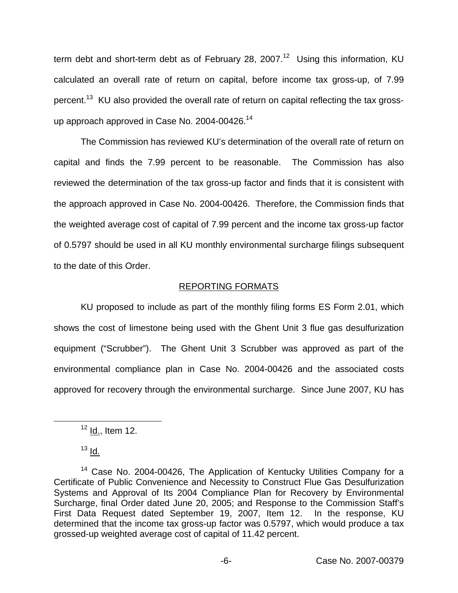term debt and short-term debt as of February 28, 2007.<sup>12</sup> Using this information, KU calculated an overall rate of return on capital, before income tax gross-up, of 7.99 percent.<sup>13</sup> KU also provided the overall rate of return on capital reflecting the tax grossup approach approved in Case No. 2004-00426.<sup>14</sup>

The Commission has reviewed KU's determination of the overall rate of return on capital and finds the 7.99 percent to be reasonable. The Commission has also reviewed the determination of the tax gross-up factor and finds that it is consistent with the approach approved in Case No. 2004-00426. Therefore, the Commission finds that the weighted average cost of capital of 7.99 percent and the income tax gross-up factor of 0.5797 should be used in all KU monthly environmental surcharge filings subsequent to the date of this Order.

# REPORTING FORMATS

KU proposed to include as part of the monthly filing forms ES Form 2.01, which shows the cost of limestone being used with the Ghent Unit 3 flue gas desulfurization equipment ("Scrubber"). The Ghent Unit 3 Scrubber was approved as part of the environmental compliance plan in Case No. 2004-00426 and the associated costs approved for recovery through the environmental surcharge. Since June 2007, KU has

 $12$  Id., Item 12.

 $13$  Id.

<sup>&</sup>lt;sup>14</sup> Case No. 2004-00426, The Application of Kentucky Utilities Company for a Certificate of Public Convenience and Necessity to Construct Flue Gas Desulfurization Systems and Approval of Its 2004 Compliance Plan for Recovery by Environmental Surcharge, final Order dated June 20, 2005; and Response to the Commission Staff's First Data Request dated September 19, 2007, Item 12. In the response, KU determined that the income tax gross-up factor was 0.5797, which would produce a tax grossed-up weighted average cost of capital of 11.42 percent.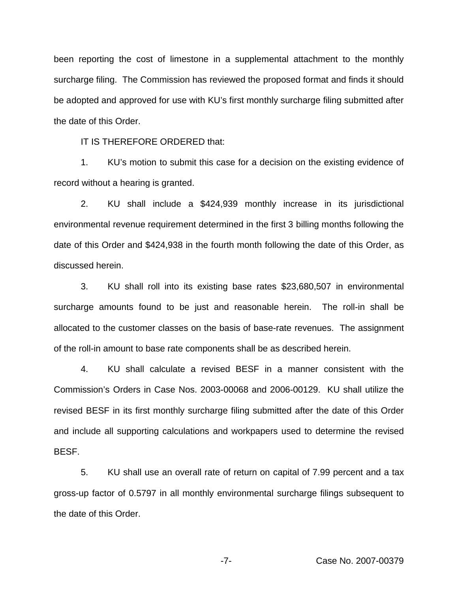been reporting the cost of limestone in a supplemental attachment to the monthly surcharge filing. The Commission has reviewed the proposed format and finds it should be adopted and approved for use with KU's first monthly surcharge filing submitted after the date of this Order.

IT IS THEREFORE ORDERED that:

1. KU's motion to submit this case for a decision on the existing evidence of record without a hearing is granted.

2. KU shall include a \$424,939 monthly increase in its jurisdictional environmental revenue requirement determined in the first 3 billing months following the date of this Order and \$424,938 in the fourth month following the date of this Order, as discussed herein.

3. KU shall roll into its existing base rates \$23,680,507 in environmental surcharge amounts found to be just and reasonable herein. The roll-in shall be allocated to the customer classes on the basis of base-rate revenues. The assignment of the roll-in amount to base rate components shall be as described herein.

4. KU shall calculate a revised BESF in a manner consistent with the Commission's Orders in Case Nos. 2003-00068 and 2006-00129. KU shall utilize the revised BESF in its first monthly surcharge filing submitted after the date of this Order and include all supporting calculations and workpapers used to determine the revised BESF.

5. KU shall use an overall rate of return on capital of 7.99 percent and a tax gross-up factor of 0.5797 in all monthly environmental surcharge filings subsequent to the date of this Order.